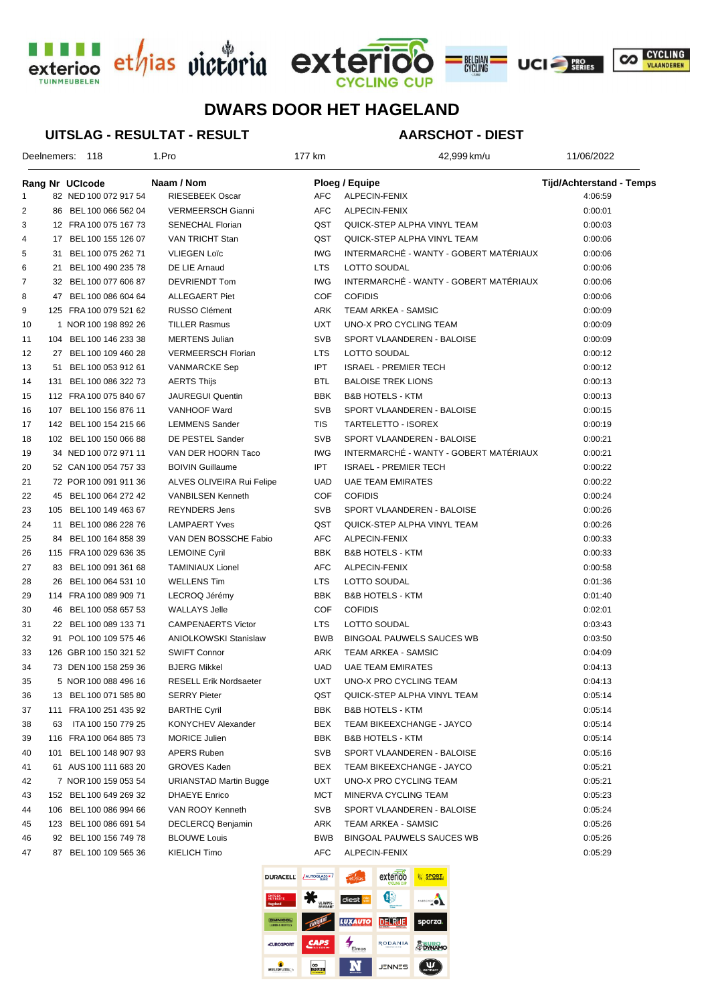





# **DWARS DOOR HET HAGELAND**

#### **UITSLAG - RESULTAT - RESULT**

## **AARSCHOT - DIEST**

| Deelnemers: 118 |    |                        | 1.Pro                         |            | 42,999 km/u                            | 11/06/2022                      |  |
|-----------------|----|------------------------|-------------------------------|------------|----------------------------------------|---------------------------------|--|
|                 |    | Rang Nr UCIcode        | Naam / Nom                    |            | <b>Ploeg / Equipe</b>                  | <b>Tijd/Achterstand - Temps</b> |  |
| 1               |    | 82 NED 100 072 917 54  | RIESEBEEK Oscar               | AFC        | ALPECIN-FENIX                          | 4:06:59                         |  |
| 2               |    | 86 BEL 100 066 562 04  | VERMEERSCH Gianni             | AFC        | ALPECIN-FENIX                          | 0:00:01                         |  |
| 3               |    | 12 FRA 100 075 167 73  | <b>SENECHAL Florian</b>       | QST        | QUICK-STEP ALPHA VINYL TEAM            | 0:00:03                         |  |
| 4               |    | 17 BEL 100 155 126 07  | VAN TRICHT Stan               | QST        | QUICK-STEP ALPHA VINYL TEAM            | 0:00:06                         |  |
| 5               |    | 31 BEL 100 075 262 71  | <b>VLIEGEN Loïc</b>           | <b>IWG</b> | INTERMARCHÉ - WANTY - GOBERT MATÉRIAUX | 0:00:06                         |  |
| 6               |    | 21 BEL 100 490 235 78  | DE LIE Arnaud                 | <b>LTS</b> | LOTTO SOUDAL                           | 0:00:06                         |  |
| 7               |    | 32 BEL 100 077 606 87  | DEVRIENDT Tom                 | <b>IWG</b> | INTERMARCHÉ - WANTY - GOBERT MATÉRIAUX | 0:00:06                         |  |
| 8               |    | 47 BEL 100 086 604 64  | <b>ALLEGAERT Piet</b>         | <b>COF</b> | <b>COFIDIS</b>                         | 0:00:06                         |  |
| 9               |    | 125 FRA 100 079 521 62 | RUSSO Clément                 | ARK        | TEAM ARKEA - SAMSIC                    | 0:00:09                         |  |
| 10              |    | 1 NOR 100 198 892 26   | <b>TILLER Rasmus</b>          | <b>UXT</b> | UNO-X PRO CYCLING TEAM                 | 0:00:09                         |  |
| 11              |    | 104 BEL 100 146 233 38 | <b>MERTENS Julian</b>         | <b>SVB</b> | SPORT VLAANDEREN - BALOISE             | 0:00:09                         |  |
| 12              |    | 27 BEL 100 109 460 28  | <b>VERMEERSCH Florian</b>     | <b>LTS</b> | LOTTO SOUDAL                           | 0:00:12                         |  |
| 13              |    | 51 BEL 100 053 912 61  | <b>VANMARCKE Sep</b>          | <b>IPT</b> | <b>ISRAEL - PREMIER TECH</b>           | 0:00:12                         |  |
| 14              |    | 131 BEL 100 086 322 73 | <b>AERTS Thijs</b>            | BTL        | <b>BALOISE TREK LIONS</b>              | 0:00:13                         |  |
| 15              |    | 112 FRA 100 075 840 67 | <b>JAUREGUI Quentin</b>       | <b>BBK</b> | <b>B&amp;B HOTELS - KTM</b>            | 0:00:13                         |  |
| 16              |    | 107 BEL 100 156 876 11 | VANHOOF Ward                  | <b>SVB</b> | SPORT VLAANDEREN - BALOISE             | 0:00:15                         |  |
| 17              |    | 142 BEL 100 154 215 66 | <b>LEMMENS Sander</b>         | <b>TIS</b> | TARTELETTO - ISOREX                    | 0:00:19                         |  |
| 18              |    | 102 BEL 100 150 066 88 | DE PESTEL Sander              | <b>SVB</b> | SPORT VLAANDEREN - BALOISE             | 0:00:21                         |  |
| 19              |    | 34 NED 100 072 971 11  | VAN DER HOORN Taco            | <b>IWG</b> | INTERMARCHÉ - WANTY - GOBERT MATÉRIAUX | 0:00:21                         |  |
| 20              |    | 52 CAN 100 054 757 33  | <b>BOIVIN Guillaume</b>       | <b>IPT</b> | <b>ISRAEL - PREMIER TECH</b>           | 0:00:22                         |  |
| 21              |    | 72 POR 100 091 911 36  | ALVES OLIVEIRA Rui Felipe     | <b>UAD</b> | <b>UAE TEAM EMIRATES</b>               | 0:00:22                         |  |
| 22              |    | 45 BEL 100 064 272 42  | <b>VANBILSEN Kenneth</b>      | <b>COF</b> | <b>COFIDIS</b>                         | 0:00:24                         |  |
| 23              |    | 105 BEL 100 149 463 67 | <b>REYNDERS Jens</b>          | <b>SVB</b> | SPORT VLAANDEREN - BALOISE             | 0:00:26                         |  |
| 24              | 11 | BEL 100 086 228 76     | <b>LAMPAERT Yves</b>          | QST        | QUICK-STEP ALPHA VINYL TEAM            | 0:00:26                         |  |
| 25              |    | 84 BEL 100 164 858 39  | VAN DEN BOSSCHE Fabio         | <b>AFC</b> | ALPECIN-FENIX                          | 0:00:33                         |  |
| 26              |    | 115 FRA 100 029 636 35 | <b>LEMOINE Cyril</b>          | <b>BBK</b> | <b>B&amp;B HOTELS - KTM</b>            | 0:00:33                         |  |
| 27              |    | 83 BEL 100 091 361 68  | <b>TAMINIAUX Lionel</b>       | <b>AFC</b> | ALPECIN-FENIX                          | 0:00:58                         |  |
| 28              |    | 26 BEL 100 064 531 10  | <b>WELLENS Tim</b>            | <b>LTS</b> | LOTTO SOUDAL                           | 0:01:36                         |  |
| 29              |    | 114 FRA 100 089 909 71 | LECROQ Jérémy                 | <b>BBK</b> | <b>B&amp;B HOTELS - KTM</b>            | 0:01:40                         |  |
| 30              |    | 46 BEL 100 058 657 53  | <b>WALLAYS Jelle</b>          | <b>COF</b> | <b>COFIDIS</b>                         | 0:02:01                         |  |
| 31              |    | 22 BEL 100 089 133 71  | <b>CAMPENAERTS Victor</b>     | <b>LTS</b> | LOTTO SOUDAL                           | 0:03:43                         |  |
| 32              |    | 91 POL 100 109 575 46  | <b>ANIOLKOWSKI Stanislaw</b>  | <b>BWB</b> | <b>BINGOAL PAUWELS SAUCES WB</b>       | 0:03:50                         |  |
| 33              |    | 126 GBR 100 150 321 52 | <b>SWIFT Connor</b>           | ARK        | TEAM ARKEA - SAMSIC                    | 0:04:09                         |  |
| 34              |    | 73 DEN 100 158 259 36  | <b>BJERG Mikkel</b>           | <b>UAD</b> | <b>UAE TEAM EMIRATES</b>               | 0:04:13                         |  |
| 35              |    | 5 NOR 100 088 496 16   | <b>RESELL Erik Nordsaeter</b> |            | UXT UNO-X PRO CYCLING TEAM             | 0:04:13                         |  |
| 36              |    | 13 BEL 100 071 585 80  | <b>SERRY Pieter</b>           | QST        | QUICK-STEP ALPHA VINYL TEAM            | 0:05:14                         |  |
| 37              |    | 111 FRA 100 251 435 92 | <b>BARTHE Cyril</b>           | BBK        | <b>B&amp;B HOTELS - KTM</b>            | 0:05:14                         |  |
| 38              | 63 | ITA 100 150 779 25     | KONYCHEV Alexander            | BEX        | TEAM BIKEEXCHANGE - JAYCO              | 0:05:14                         |  |
| 39              |    | 116 FRA 100 064 885 73 | <b>MORICE Julien</b>          | BBK        | <b>B&amp;B HOTELS - KTM</b>            | 0:05:14                         |  |
| 40              |    | 101 BEL 100 148 907 93 | APERS Ruben                   | <b>SVB</b> | SPORT VLAANDEREN - BALOISE             | 0:05:16                         |  |
| 41              |    | 61 AUS 100 111 683 20  | <b>GROVES Kaden</b>           | BEX        | TEAM BIKEEXCHANGE - JAYCO              | 0:05:21                         |  |
| 42              |    | 7 NOR 100 159 053 54   | <b>URIANSTAD Martin Bugge</b> | UXT        | UNO-X PRO CYCLING TEAM                 | 0:05:21                         |  |
| 43              |    | 152 BEL 100 649 269 32 | DHAEYE Enrico                 | MCT        | MINERVA CYCLING TEAM                   | 0:05:23                         |  |
| 44              |    | 106 BEL 100 086 994 66 | VAN ROOY Kenneth              | <b>SVB</b> | SPORT VLAANDEREN - BALOISE             | 0:05:24                         |  |
| 45              |    | 123 BEL 100 086 691 54 | DECLERCQ Benjamin             | ARK        | TEAM ARKEA - SAMSIC                    | 0:05:26                         |  |
| 46              |    | 92 BEL 100 156 749 78  | <b>BLOUWE Louis</b>           | BWB        | <b>BINGOAL PAUWELS SAUCES WB</b>       | 0:05:26                         |  |
|                 |    |                        | KIELICH Timo                  | AFC        |                                        | 0:05:29                         |  |
| 47              |    | 87 BEL 100 109 565 36  |                               |            | ALPECIN-FENIX                          |                                 |  |

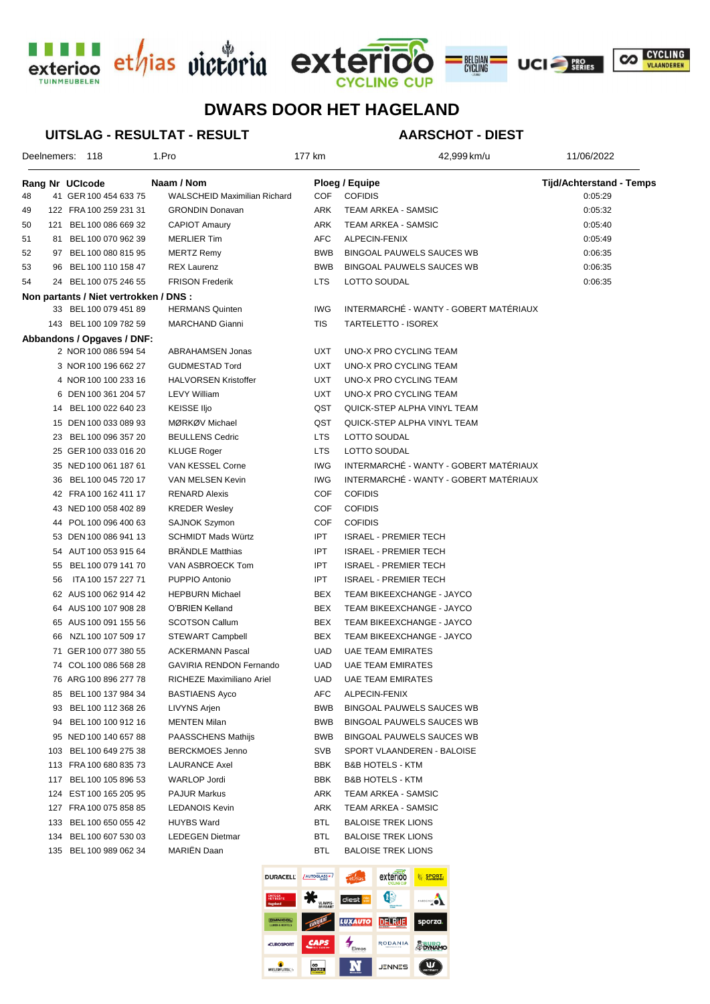





## **DWARS DOOR HET HAGELAND**

#### **UITSLAG - RESULTAT - RESULT**

### **AARSCHOT - DIEST**

| Deelnemers: 118 |     |                                        | 1.Pro                               | 177 km     | 42,999 km/u                                   | 11/06/2022                      |
|-----------------|-----|----------------------------------------|-------------------------------------|------------|-----------------------------------------------|---------------------------------|
|                 |     | Rang Nr UCIcode                        | Naam / Nom                          |            | Ploeg / Equipe                                | <b>Tijd/Achterstand - Temps</b> |
| 48              |     | 41 GER 100 454 633 75                  | <b>WALSCHEID Maximilian Richard</b> | COF        | <b>COFIDIS</b>                                | 0:05:29                         |
| 49              |     | 122 FRA 100 259 231 31                 | <b>GRONDIN Donavan</b>              | ARK        | TEAM ARKEA - SAMSIC                           | 0:05:32                         |
| 50              |     | 121 BEL 100 086 669 32                 | <b>CAPIOT Amaury</b>                | ARK        | TEAM ARKEA - SAMSIC                           | 0:05:40                         |
| 51              |     | 81 BEL 100 070 962 39                  | <b>MERLIER Tim</b>                  | AFC        | ALPECIN-FENIX                                 | 0:05:49                         |
| 52              |     | 97 BEL 100 080 815 95                  | <b>MERTZ Remy</b>                   | <b>BWB</b> | BINGOAL PAUWELS SAUCES WB                     | 0:06:35                         |
| 53              |     | 96 BEL 100 110 158 47                  | <b>REX Laurenz</b>                  | <b>BWB</b> | BINGOAL PAUWELS SAUCES WB                     | 0:06:35                         |
| 54              |     | 24 BEL 100 075 246 55                  | <b>FRISON Frederik</b>              | <b>LTS</b> | LOTTO SOUDAL                                  | 0:06:35                         |
|                 |     | Non partants / Niet vertrokken / DNS : |                                     |            |                                               |                                 |
|                 |     | 33 BEL 100 079 451 89                  | <b>HERMANS Quinten</b>              | <b>IWG</b> | INTERMARCHÉ - WANTY - GOBERT MATÉRIAUX        |                                 |
|                 |     | 143 BEL 100 109 782 59                 | MARCHAND Gianni                     | TIS        | TARTELETTO - ISOREX                           |                                 |
|                 |     | Abbandons / Opgaves / DNF:             |                                     |            |                                               |                                 |
|                 |     | 2 NOR 100 086 594 54                   | <b>ABRAHAMSEN Jonas</b>             | UXT        | UNO-X PRO CYCLING TEAM                        |                                 |
|                 |     | 3 NOR 100 196 662 27                   | <b>GUDMESTAD Tord</b>               | UXT        | UNO-X PRO CYCLING TEAM                        |                                 |
|                 |     | 4 NOR 100 100 233 16                   | <b>HALVORSEN Kristoffer</b>         | UXT        | UNO-X PRO CYCLING TEAM                        |                                 |
|                 |     | 6 DEN 100 361 204 57                   | <b>LEVY William</b>                 | UXT        | UNO-X PRO CYCLING TEAM                        |                                 |
|                 | 14  | BEL 100 022 640 23                     | KEISSE IIjo                         | QST        | QUICK-STEP ALPHA VINYL TEAM                   |                                 |
|                 |     | 15 DEN 100 033 089 93                  | MØRKØV Michael                      | QST        | QUICK-STEP ALPHA VINYL TEAM                   |                                 |
|                 |     | 23 BEL 100 096 357 20                  | <b>BEULLENS Cedric</b>              | <b>LTS</b> | LOTTO SOUDAL                                  |                                 |
|                 |     | 25 GER 100 033 016 20                  | KLUGE Roger                         | LTS        | LOTTO SOUDAL                                  |                                 |
|                 |     | 35 NED 100 061 187 61                  | VAN KESSEL Corne                    | <b>IWG</b> | INTERMARCHÉ - WANTY - GOBERT MATÉRIAUX        |                                 |
|                 | 36  | BEL 100 045 720 17                     | VAN MELSEN Kevin                    | <b>IWG</b> | INTERMARCHÉ - WANTY - GOBERT MATÉRIAUX        |                                 |
|                 |     | 42 FRA 100 162 411 17                  | <b>RENARD Alexis</b>                | COF        | <b>COFIDIS</b>                                |                                 |
|                 |     | 43 NED 100 058 402 89                  | <b>KREDER Wesley</b>                | COF        | <b>COFIDIS</b>                                |                                 |
|                 |     | 44 POL 100 096 400 63                  | <b>SAJNOK Szymon</b>                | COF        | <b>COFIDIS</b>                                |                                 |
|                 |     | 53 DEN 100 086 941 13                  | <b>SCHMIDT Mads Würtz</b>           | <b>IPT</b> | <b>ISRAEL - PREMIER TECH</b>                  |                                 |
|                 |     | 54 AUT 100 053 915 64                  | <b>BRÄNDLE Matthias</b>             | <b>IPT</b> | <b>ISRAEL - PREMIER TECH</b>                  |                                 |
|                 | 55  | BEL 100 079 141 70                     | VAN ASBROECK Tom                    | <b>IPT</b> | <b>ISRAEL - PREMIER TECH</b>                  |                                 |
|                 | 56  | ITA 100 157 227 71                     | PUPPIO Antonio                      | <b>IPT</b> | <b>ISRAEL - PREMIER TECH</b>                  |                                 |
|                 |     | 62 AUS 100 062 914 42                  | <b>HEPBURN Michael</b>              | <b>BEX</b> | TEAM BIKEEXCHANGE - JAYCO                     |                                 |
|                 |     | 64 AUS 100 107 908 28                  | O'BRIEN Kelland                     | <b>BEX</b> | TEAM BIKEEXCHANGE - JAYCO                     |                                 |
|                 |     | 65 AUS 100 091 155 56                  | <b>SCOTSON Callum</b>               | BEX        | TEAM BIKEEXCHANGE - JAYCO                     |                                 |
|                 |     | 66 NZL 100 107 509 17                  | STEWART Campbell                    | BEX        | TEAM BIKEEXCHANGE - JAYCO                     |                                 |
|                 |     | 71 GER 100 077 380 55                  | <b>ACKERMANN Pascal</b>             | UAD        | UAE TEAM EMIRATES                             |                                 |
|                 |     | 74 COL 100 086 568 28                  | <b>GAVIRIA RENDON Fernando</b>      | UAD        | UAE TEAM EMIRATES                             |                                 |
|                 |     | 76 ARG 100 896 277 78                  | RICHEZE Maximiliano Ariel           | <b>UAD</b> | <b>UAE TEAM EMIRATES</b>                      |                                 |
|                 | 85  | BEL 100 137 984 34                     | <b>BASTIAENS Ayco</b>               | AFC        | ALPECIN-FENIX                                 |                                 |
|                 | 93  | BEL 100 112 368 26                     | LIVYNS Arjen                        | <b>BWB</b> | BINGOAL PAUWELS SAUCES WB                     |                                 |
|                 | 94  | BEL 100 100 912 16                     | <b>MENTEN Milan</b>                 | BWB        | BINGOAL PAUWELS SAUCES WB                     |                                 |
|                 |     | 95 NED 100 140 657 88                  | PAASSCHENS Mathijs                  | BWB        | <b>BINGOAL PAUWELS SAUCES WB</b>              |                                 |
|                 | 103 | BEL 100 649 275 38                     | <b>BERCKMOES Jenno</b>              | SVB        | SPORT VLAANDEREN - BALOISE                    |                                 |
|                 |     | 113 FRA 100 680 835 73                 | <b>LAURANCE Axel</b>                | BBK        | <b>B&amp;B HOTELS - KTM</b>                   |                                 |
|                 | 117 | BEL 100 105 896 53                     | WARLOP Jordi                        | BBK        | <b>B&amp;B HOTELS - KTM</b>                   |                                 |
|                 |     | 124 EST 100 165 205 95                 | <b>PAJUR Markus</b>                 | ARK        | TEAM ARKEA - SAMSIC                           |                                 |
|                 |     | 127 FRA 100 075 858 85                 | <b>LEDANOIS Kevin</b>               | ARK        | TEAM ARKEA - SAMSIC                           |                                 |
|                 | 133 | BEL 100 650 055 42                     | <b>HUYBS Ward</b>                   | <b>BTL</b> | <b>BALOISE TREK LIONS</b>                     |                                 |
|                 | 134 | BEL 100 607 530 03                     | <b>LEDEGEN Dietmar</b>              | <b>BTL</b> | <b>BALOISE TREK LIONS</b>                     |                                 |
|                 |     | 135 BEL 100 989 062 34                 | <b>MARIEN Daan</b>                  | BTL        | <b>BALOISE TREK LIONS</b>                     |                                 |
|                 |     |                                        | <b>DURACELL</b>                     | AUTOGLASS* | exterioo<br><b>ED SPORT.</b><br><b>Ethias</b> |                                 |

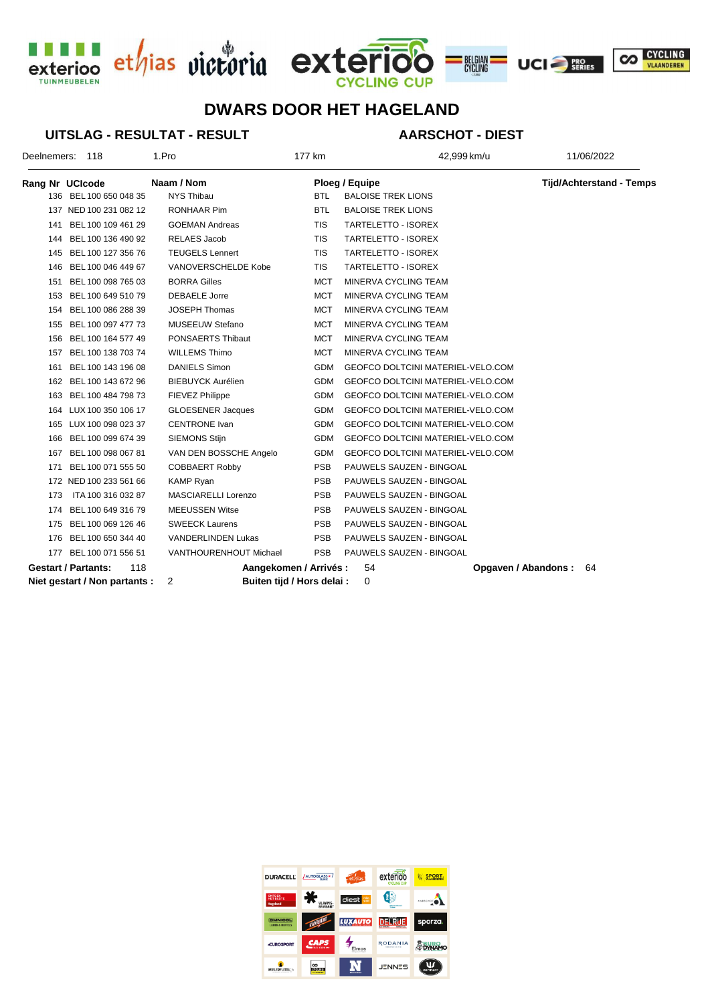





# **DWARS DOOR HET HAGELAND**

#### **UITSLAG - RESULTAT - RESULT**

### **AARSCHOT - DIEST**

| Deelnemers: 118                   |                        | 1.Pro                     | 177 km                     | 42,999 km/u                       | 11/06/2022                      |
|-----------------------------------|------------------------|---------------------------|----------------------------|-----------------------------------|---------------------------------|
|                                   | Rang Nr UCIcode        | Naam / Nom                |                            | Ploeg / Equipe                    | <b>Tijd/Achterstand - Temps</b> |
|                                   | 136 BEL 100 650 048 35 | <b>NYS Thibau</b>         | <b>BTL</b>                 | <b>BALOISE TREK LIONS</b>         |                                 |
|                                   | 137 NED 100 231 082 12 | RONHAAR Pim               | <b>BTL</b>                 | <b>BALOISE TREK LIONS</b>         |                                 |
| 141                               | BEL 100 109 461 29     | <b>GOEMAN Andreas</b>     | <b>TIS</b>                 | TARTELETTO - ISOREX               |                                 |
|                                   | 144 BEL 100 136 490 92 | <b>RELAES Jacob</b>       | <b>TIS</b>                 | <b>TARTELETTO - ISOREX</b>        |                                 |
| 145                               | BEL 100 127 356 76     | <b>TEUGELS Lennert</b>    | TIS                        | TARTELETTO - ISOREX               |                                 |
| 146                               | BEL 100 046 449 67     | VANOVERSCHELDE Kobe       | <b>TIS</b>                 | TARTELETTO - ISOREX               |                                 |
| 151                               | BEL 100 098 765 03     | <b>BORRA Gilles</b>       | <b>MCT</b>                 | MINERVA CYCLING TEAM              |                                 |
| 153                               | BEL 100 649 510 79     | <b>DEBAELE Jorre</b>      | <b>MCT</b>                 | MINERVA CYCLING TEAM              |                                 |
| 154                               | BEL 100 086 288 39     | <b>JOSEPH Thomas</b>      | <b>MCT</b>                 | MINERVA CYCLING TEAM              |                                 |
| 155                               | BEL 100 097 477 73     | <b>MUSEEUW Stefano</b>    | <b>MCT</b>                 | MINERVA CYCLING TEAM              |                                 |
| 156                               | BEL 100 164 577 49     | PONSAERTS Thibaut         | <b>MCT</b>                 | MINERVA CYCLING TEAM              |                                 |
| 157                               | BEL 100 138 703 74     | <b>WILLEMS Thimo</b>      | <b>MCT</b>                 | MINERVA CYCLING TEAM              |                                 |
| 161                               | BEL 100 143 196 08     | <b>DANIELS Simon</b>      | <b>GDM</b>                 | GEOFCO DOLTCINI MATERIEL-VELO.COM |                                 |
| 162                               | BEL 100 143 672 96     | <b>BIEBUYCK Aurélien</b>  | <b>GDM</b>                 | GEOFCO DOLTCINI MATERIEL-VELO.COM |                                 |
| 163                               | BEL 100 484 798 73     | FIEVEZ Philippe           | <b>GDM</b>                 | GEOFCO DOLTCINI MATERIEL-VELO.COM |                                 |
| 164                               | LUX 100 350 106 17     | <b>GLOESENER Jacques</b>  | <b>GDM</b>                 | GEOFCO DOLTCINI MATERIEL-VELO.COM |                                 |
| 165                               | LUX 100 098 023 37     | <b>CENTRONE</b> Ivan      | <b>GDM</b>                 | GEOFCO DOLTCINI MATERIEL-VELO.COM |                                 |
| 166                               | BEL 100 099 674 39     | <b>SIEMONS Stijn</b>      | <b>GDM</b>                 | GEOFCO DOLTCINI MATERIEL-VELO.COM |                                 |
| 167                               | BEL 100 098 067 81     | VAN DEN BOSSCHE Angelo    | <b>GDM</b>                 | GEOFCO DOLTCINI MATERIEL-VELO.COM |                                 |
| 171                               | BEL 100 071 555 50     | <b>COBBAERT Robby</b>     | <b>PSB</b>                 | PAUWELS SAUZEN - BINGOAL          |                                 |
|                                   | 172 NED 100 233 561 66 | <b>KAMP Ryan</b>          | <b>PSB</b>                 | PAUWELS SAUZEN - BINGOAL          |                                 |
| 173                               | ITA 100 316 032 87     | MASCIARELLI Lorenzo       | <b>PSB</b>                 | PAUWELS SAUZEN - BINGOAL          |                                 |
| 174                               | BEL 100 649 316 79     | <b>MEEUSSEN Witse</b>     | <b>PSB</b>                 | PAUWELS SAUZEN - BINGOAL          |                                 |
| 175                               | BEL 100 069 126 46     | <b>SWEECK Laurens</b>     | <b>PSB</b>                 | PAUWELS SAUZEN - BINGOAL          |                                 |
| 176                               | BEL 100 650 344 40     | <b>VANDERLINDEN Lukas</b> | <b>PSB</b>                 | PAUWELS SAUZEN - BINGOAL          |                                 |
|                                   | 177 BEL 100 071 556 51 | VANTHOURENHOUT Michael    | <b>PSB</b>                 | PAUWELS SAUZEN - BINGOAL          |                                 |
| <b>Gestart / Partants:</b><br>118 |                        |                           | Aangekomen / Arrivés :     | 54                                | Opgaven / Abandons:<br>64       |
| Niet gestart / Non partants :     |                        | 2                         | Buiten tijd / Hors delai : | 0                                 |                                 |

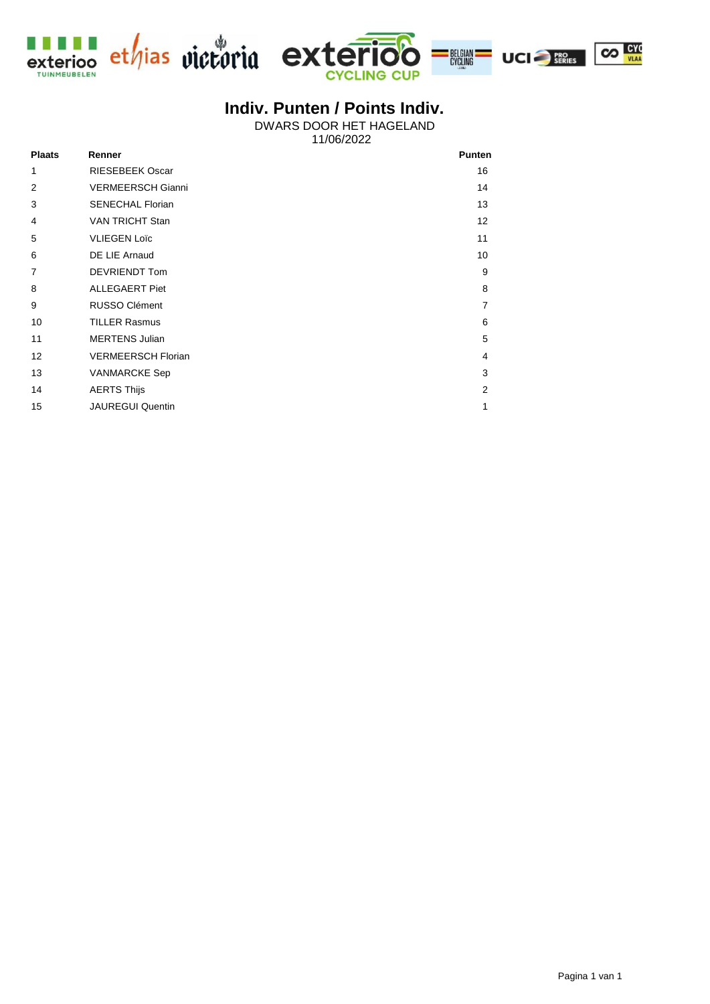



BELGIAN<br>CYCLING



# **Indiv. Punten / Points Indiv.**

11/06/2022 DWARS DOOR HET HAGELAND

| <b>Plaats</b>     | Renner                    | <b>Punten</b>  |
|-------------------|---------------------------|----------------|
| 1                 | <b>RIESEBEEK Oscar</b>    | 16             |
| 2                 | <b>VERMEERSCH Gianni</b>  | 14             |
| 3                 | <b>SENECHAL Florian</b>   | 13             |
| 4                 | <b>VAN TRICHT Stan</b>    | 12             |
| 5                 | <b>VLIEGEN Loïc</b>       | 11             |
| 6                 | DE LIE Arnaud             | 10             |
| $\overline{7}$    | <b>DEVRIENDT Tom</b>      | 9              |
| 8                 | <b>ALLEGAERT Piet</b>     | 8              |
| 9                 | <b>RUSSO Clément</b>      | $\overline{7}$ |
| 10                | <b>TILLER Rasmus</b>      | 6              |
| 11                | <b>MERTENS Julian</b>     | 5              |
| $12 \overline{ }$ | <b>VERMEERSCH Florian</b> | 4              |
| 13                | <b>VANMARCKE Sep</b>      | 3              |
| 14                | <b>AERTS Thijs</b>        | 2              |
| 15                | <b>JAUREGUI Quentin</b>   | $\mathbf{1}$   |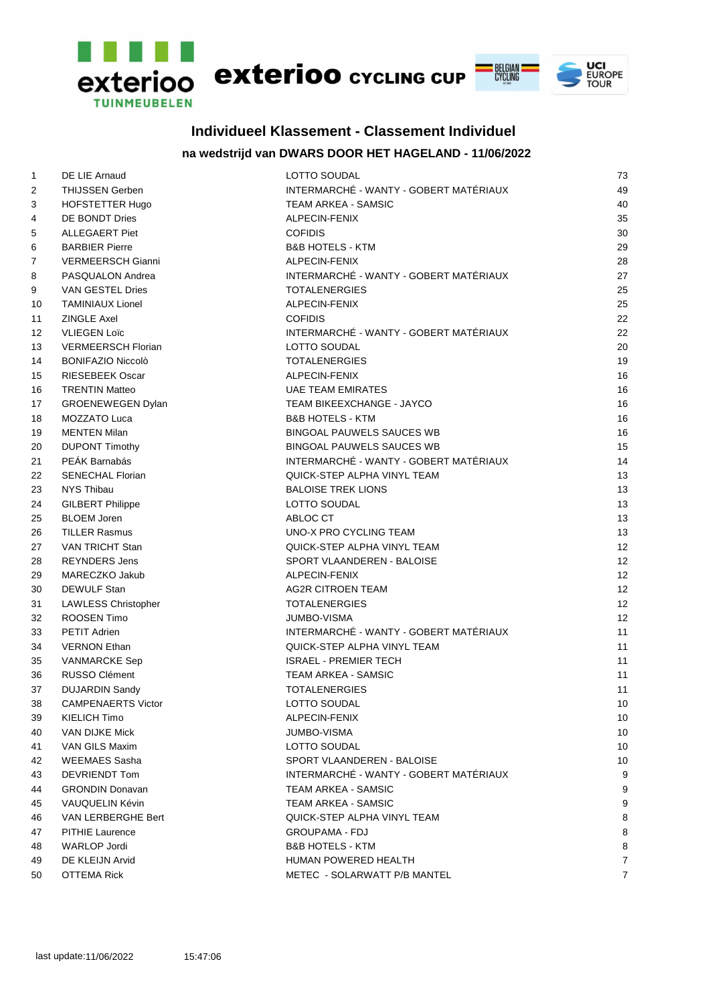

## **Individueel Klassement - Classement Individuel**

### **na wedstrijd van DWARS DOOR HET HAGELAND - 11/06/2022**

| $\mathbf{1}$ | DE LIE Arnaud              | LOTTO SOUDAL                           | 73             |
|--------------|----------------------------|----------------------------------------|----------------|
| 2            | THIJSSEN Gerben            | INTERMARCHÉ - WANTY - GOBERT MATÉRIAUX | 49             |
| 3            | HOFSTETTER Hugo            | <b>TEAM ARKEA - SAMSIC</b>             | 40             |
| 4            | DE BONDT Dries             | ALPECIN-FENIX                          | 35             |
| 5            | <b>ALLEGAERT Piet</b>      | <b>COFIDIS</b>                         | 30             |
| 6            | <b>BARBIER Pierre</b>      | <b>B&amp;B HOTELS - KTM</b>            | 29             |
| 7            | <b>VERMEERSCH Gianni</b>   | ALPECIN-FENIX                          | 28             |
| 8            | PASQUALON Andrea           | INTERMARCHÉ - WANTY - GOBERT MATÉRIAUX | 27             |
| 9            | VAN GESTEL Dries           | <b>TOTALENERGIES</b>                   | 25             |
| 10           | <b>TAMINIAUX Lionel</b>    | ALPECIN-FENIX                          | 25             |
| 11           | <b>ZINGLE Axel</b>         | <b>COFIDIS</b>                         | 22             |
| 12           | <b>VLIEGEN Loïc</b>        | INTERMARCHÉ - WANTY - GOBERT MATÉRIAUX | 22             |
| 13           | <b>VERMEERSCH Florian</b>  | LOTTO SOUDAL                           | 20             |
| 14           | <b>BONIFAZIO Niccolò</b>   | <b>TOTALENERGIES</b>                   | 19             |
| 15           | <b>RIESEBEEK Oscar</b>     | ALPECIN-FENIX                          | 16             |
| 16           | <b>TRENTIN Matteo</b>      | <b>UAE TEAM EMIRATES</b>               | 16             |
| 17           | GROENEWEGEN Dylan          | TEAM BIKEEXCHANGE - JAYCO              | 16             |
| 18           | MOZZATO Luca               | <b>B&amp;B HOTELS - KTM</b>            | 16             |
| 19           | <b>MENTEN Milan</b>        | <b>BINGOAL PAUWELS SAUCES WB</b>       | 16             |
| 20           | <b>DUPONT Timothy</b>      | <b>BINGOAL PAUWELS SAUCES WB</b>       | 15             |
| 21           | PEÁK Barnabás              | INTERMARCHÉ - WANTY - GOBERT MATÉRIAUX | 14             |
| 22           | <b>SENECHAL Florian</b>    | QUICK-STEP ALPHA VINYL TEAM            | 13             |
| 23           | NYS Thibau                 | <b>BALOISE TREK LIONS</b>              | 13             |
| 24           | <b>GILBERT Philippe</b>    | LOTTO SOUDAL                           | 13             |
| 25           | <b>BLOEM Joren</b>         | ABLOC CT                               | 13             |
| 26           | <b>TILLER Rasmus</b>       | UNO-X PRO CYCLING TEAM                 | 13             |
| 27           | VAN TRICHT Stan            | QUICK-STEP ALPHA VINYL TEAM            | 12             |
| 28           | <b>REYNDERS Jens</b>       | SPORT VLAANDEREN - BALOISE             | 12             |
| 29           | MARECZKO Jakub             | ALPECIN-FENIX                          | 12             |
| 30           | DEWULF Stan                | <b>AG2R CITROEN TEAM</b>               | 12             |
| 31           | <b>LAWLESS Christopher</b> | <b>TOTALENERGIES</b>                   | 12             |
| 32           | ROOSEN Timo                | <b>JUMBO-VISMA</b>                     | 12             |
| 33           | <b>PETIT Adrien</b>        | INTERMARCHÉ - WANTY - GOBERT MATÉRIAUX | 11             |
| 34           | <b>VERNON Ethan</b>        | QUICK-STEP ALPHA VINYL TEAM            | 11             |
| 35           | <b>VANMARCKE Sep</b>       | <b>ISRAEL - PREMIER TECH</b>           | 11             |
| 36           | <b>RUSSO Clément</b>       | <b>TEAM ARKEA - SAMSIC</b>             | 11             |
| 37           | <b>DUJARDIN Sandy</b>      | <b>TOTALENERGIES</b>                   | 11             |
| 38           | <b>CAMPENAERTS Victor</b>  | LOTTO SOUDAL                           | 10             |
| 39           | KIELICH Timo               | ALPECIN-FENIX                          | 10             |
| 40           | VAN DIJKE Mick             | <b>JUMBO-VISMA</b>                     | 10             |
| 41           | VAN GILS Maxim             | LOTTO SOUDAL                           | 10             |
| 42           | <b>WEEMAES Sasha</b>       | SPORT VLAANDEREN - BALOISE             | 10             |
| 43           | DEVRIENDT Tom              | INTERMARCHÉ - WANTY - GOBERT MATÉRIAUX | 9              |
| 44           | <b>GRONDIN Donavan</b>     | TEAM ARKEA - SAMSIC                    | 9              |
| 45           | VAUQUELIN Kévin            | TEAM ARKEA - SAMSIC                    | 9              |
| 46           | VAN LERBERGHE Bert         | QUICK-STEP ALPHA VINYL TEAM            | 8              |
| 47           | <b>PITHIE Laurence</b>     | GROUPAMA - FDJ                         | 8              |
| 48           | <b>WARLOP Jordi</b>        | <b>B&amp;B HOTELS - KTM</b>            | 8              |
| 49           | DE KLEIJN Arvid            | HUMAN POWERED HEALTH                   | $\overline{7}$ |
| 50           | <b>OTTEMA Rick</b>         | METEC - SOLARWATT P/B MANTEL           | $\overline{7}$ |